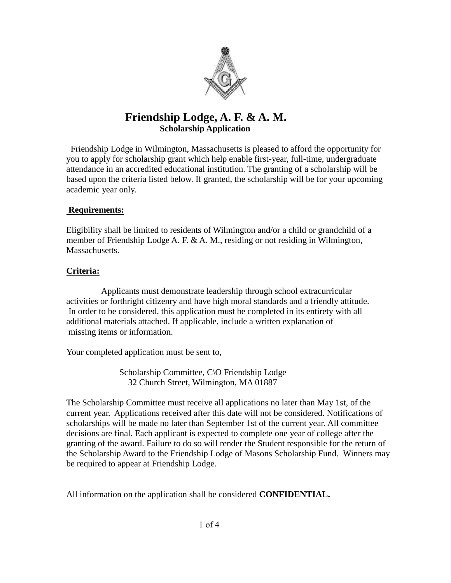

## **Friendship Lodge, A. F. & A. M. Scholarship Application**

Friendship Lodge in Wilmington, Massachusetts is pleased to afford the opportunity for you to apply for scholarship grant which help enable first-year, full-time, undergraduate attendance in an accredited educational institution. The granting of a scholarship will be based upon the criteria listed below. If granted, the scholarship will be for your upcoming academic year only.

#### **Requirements:**

Eligibility shall be limited to residents of Wilmington and/or a child or grandchild of a member of Friendship Lodge A. F. & A. M., residing or not residing in Wilmington, Massachusetts.

#### **Criteria:**

 Applicants must demonstrate leadership through school extracurricular activities or forthright citizenry and have high moral standards and a friendly attitude. In order to be considered, this application must be completed in its entirety with all additional materials attached. If applicable, include a written explanation of missing items or information.

Your completed application must be sent to,

 Scholarship Committee, C\O Friendship Lodge 32 Church Street, Wilmington, MA 01887

The Scholarship Committee must receive all applications no later than May 1st, of the current year. Applications received after this date will not be considered. Notifications of scholarships will be made no later than September 1st of the current year. All committee decisions are final. Each applicant is expected to complete one year of college after the granting of the award. Failure to do so will render the Student responsible for the return of the Scholarship Award to the Friendship Lodge of Masons Scholarship Fund. Winners may be required to appear at Friendship Lodge.

All information on the application shall be considered **CONFIDENTIAL.**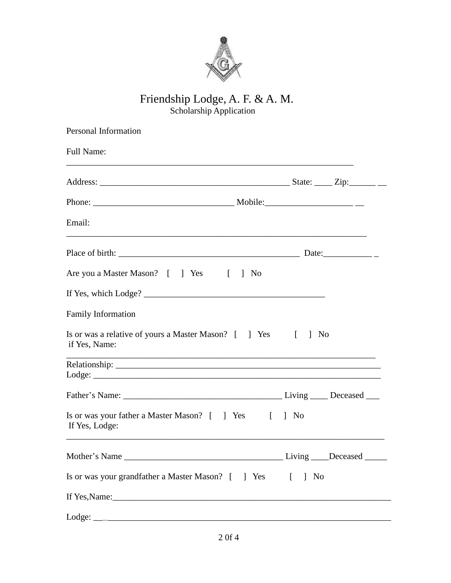

### Friendship Lodge, A. F. & A. M. Scholarship Application

| Personal Information                                                          |                           |
|-------------------------------------------------------------------------------|---------------------------|
| <b>Full Name:</b>                                                             |                           |
|                                                                               |                           |
|                                                                               |                           |
| Email:                                                                        |                           |
|                                                                               |                           |
| Are you a Master Mason? [ ] Yes [ ] No                                        |                           |
|                                                                               |                           |
| <b>Family Information</b>                                                     |                           |
| Is or was a relative of yours a Master Mason? [ ] Yes [ ] No<br>if Yes, Name: |                           |
|                                                                               |                           |
|                                                                               |                           |
| Is or was your father a Master Mason? [ ] Yes [ ] No<br>If Yes, Lodge:        |                           |
| Mother's Name _                                                               | Living ____Deceased _____ |
| Is or was your grandfather a Master Mason? [ ] Yes [                          | $\mid$ No                 |
|                                                                               |                           |
|                                                                               |                           |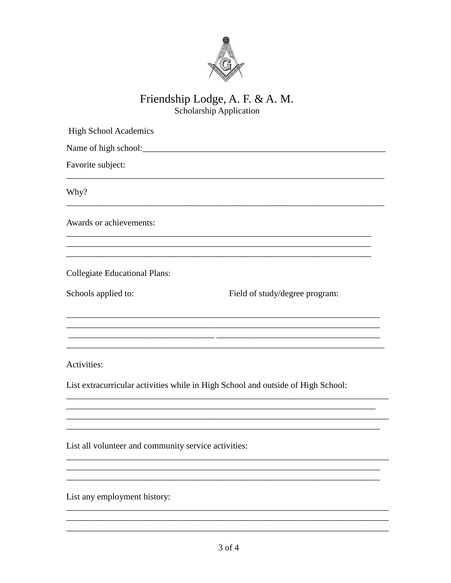

# Friendship Lodge, A. F. & A. M.<br>Scholarship Application

| <b>High School Academics</b>                                                     |                                |  |
|----------------------------------------------------------------------------------|--------------------------------|--|
|                                                                                  |                                |  |
| Favorite subject:                                                                |                                |  |
| Why?                                                                             |                                |  |
| Awards or achievements:                                                          |                                |  |
| <b>Collegiate Educational Plans:</b>                                             |                                |  |
| Schools applied to:                                                              | Field of study/degree program: |  |
|                                                                                  |                                |  |
| Activities:                                                                      |                                |  |
| List extracurricular activities while in High School and outside of High School: |                                |  |
|                                                                                  |                                |  |
| List all volunteer and community service activities:                             |                                |  |
|                                                                                  |                                |  |
| List any employment history:                                                     |                                |  |
|                                                                                  |                                |  |